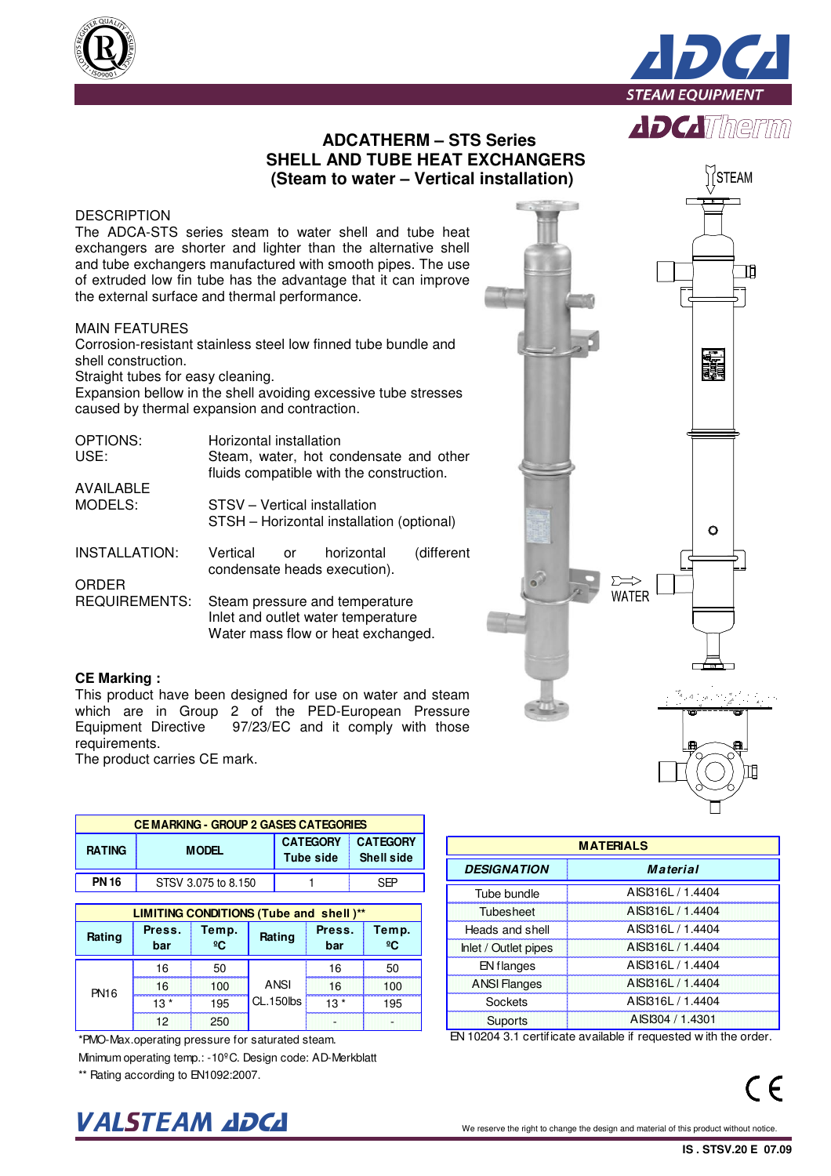



## **ADCATHERM – STS Series SHELL AND TUBE HEAT EXCHANGERS (Steam to water – Vertical installation)**

### **DESCRIPTION**

The ADCA-STS series steam to water shell and tube heat exchangers are shorter and lighter than the alternative shell and tube exchangers manufactured with smooth pipes. The use of extruded low fin tube has the advantage that it can improve the external surface and thermal performance.

### MAIN FEATURES

Corrosion-resistant stainless steel low finned tube bundle and shell construction.

Straight tubes for easy cleaning.

Expansion bellow in the shell avoiding excessive tube stresses caused by thermal expansion and contraction.

| OPTIONS:<br>USE:     | Horizontal installation<br>Steam, water, hot condensate and other<br>fluids compatible with the construction. |  |  |  |  |  |  |  |  |
|----------------------|---------------------------------------------------------------------------------------------------------------|--|--|--|--|--|--|--|--|
| <b>AVAILABLE</b>     |                                                                                                               |  |  |  |  |  |  |  |  |
| MODELS:              | STSV - Vertical installation<br>STSH - Horizontal installation (optional)                                     |  |  |  |  |  |  |  |  |
| INSTALLATION:        | Vertical or<br>(different<br>horizontal<br>condensate heads execution).                                       |  |  |  |  |  |  |  |  |
| ORDER                |                                                                                                               |  |  |  |  |  |  |  |  |
| <b>REQUIREMENTS:</b> | Steam pressure and temperature<br>Inlet and outlet water temperature<br>Water mass flow or heat exchanged.    |  |  |  |  |  |  |  |  |

#### **CE Marking :**

This product have been designed for use on water and steam which are in Group 2 of the PED-European Pressure<br>Equipment Directive 97/23/EC and it comply with those 97/23/EC and it comply with those requirements.

The product carries CE mark.

|               | <b>CEMARKING - GROUP 2 GASES CATEGORIES</b> |                     |                   |                 |                 |                      |                  |
|---------------|---------------------------------------------|---------------------|-------------------|-----------------|-----------------|----------------------|------------------|
| <b>RATING</b> | <b>MODEL</b>                                |                     |                   | <b>CATEGORY</b> | <b>CATEGORY</b> |                      | <b>MATERIALS</b> |
|               |                                             |                     |                   | Tube side       | Shell side      | <b>DESIGNATION</b>   |                  |
| <b>PN 16</b>  |                                             | STSV 3.075 to 8.150 |                   |                 | <b>SEP</b>      |                      |                  |
|               |                                             |                     |                   |                 |                 | Tube bundle          | <b>AISI</b>      |
|               | LIMITING CONDITIONS (Tube and shell)**      |                     |                   |                 |                 | Tubesheet            | <b>AISI</b>      |
| Rating        | Press.                                      | Temp.               | Rating            | Press.          | Temp.           | Heads and shell      | <b>AISI</b>      |
|               | bar                                         | $^{\circ}$ C        |                   | bar             | ºC              | Inlet / Outlet pipes | <b>AISI</b>      |
| <b>PN16</b>   | 16                                          | 50                  | ANSI<br>CL.150lbs | 16              | 50              | EN flanges           | <b>AISI</b>      |
|               | 16                                          | 100                 |                   | 16              | 100             | <b>ANSI Flanges</b>  | <b>AISI</b>      |
|               | $13*$                                       | 195                 |                   | $13*$           | 195             | Sockets              | <b>AISI</b>      |
|               | 12                                          | 250                 |                   |                 |                 | <b>Suports</b>       | <b>AIS</b>       |

Minimum operating temp.: -10ºC. Design code: AD-Merkblatt \*\* Rating according to EN1092:2007. \*PMO-Max.operating pressure for saturated steam.

# $\bm{VALSTEAM}$  and  $\bm{DCL}$  we reserve the right to change the design and material of this product without notice.

| <b>MATERIALS</b>     |                   |  |  |  |  |  |  |  |  |
|----------------------|-------------------|--|--|--|--|--|--|--|--|
| <b>DESIGNATION</b>   | <b>Material</b>   |  |  |  |  |  |  |  |  |
| Tube bundle          | AISI316L / 1.4404 |  |  |  |  |  |  |  |  |
| Tubesheet            | AISI316L / 1.4404 |  |  |  |  |  |  |  |  |
| Heads and shell      | AISI316L / 1.4404 |  |  |  |  |  |  |  |  |
| Inlet / Outlet pipes | AISI316L / 1.4404 |  |  |  |  |  |  |  |  |
| EN flanges           | AISI316 / 1.4404  |  |  |  |  |  |  |  |  |
| <b>ANSI Flanges</b>  | AISI316L / 1.4404 |  |  |  |  |  |  |  |  |
| Sockets              | AISI316L / 1.4404 |  |  |  |  |  |  |  |  |
| <b>Suports</b>       | AISI304 / 1.4301  |  |  |  |  |  |  |  |  |

EN 10204 3.1 certificate available if requested w ith the order.

 $C \in$ 

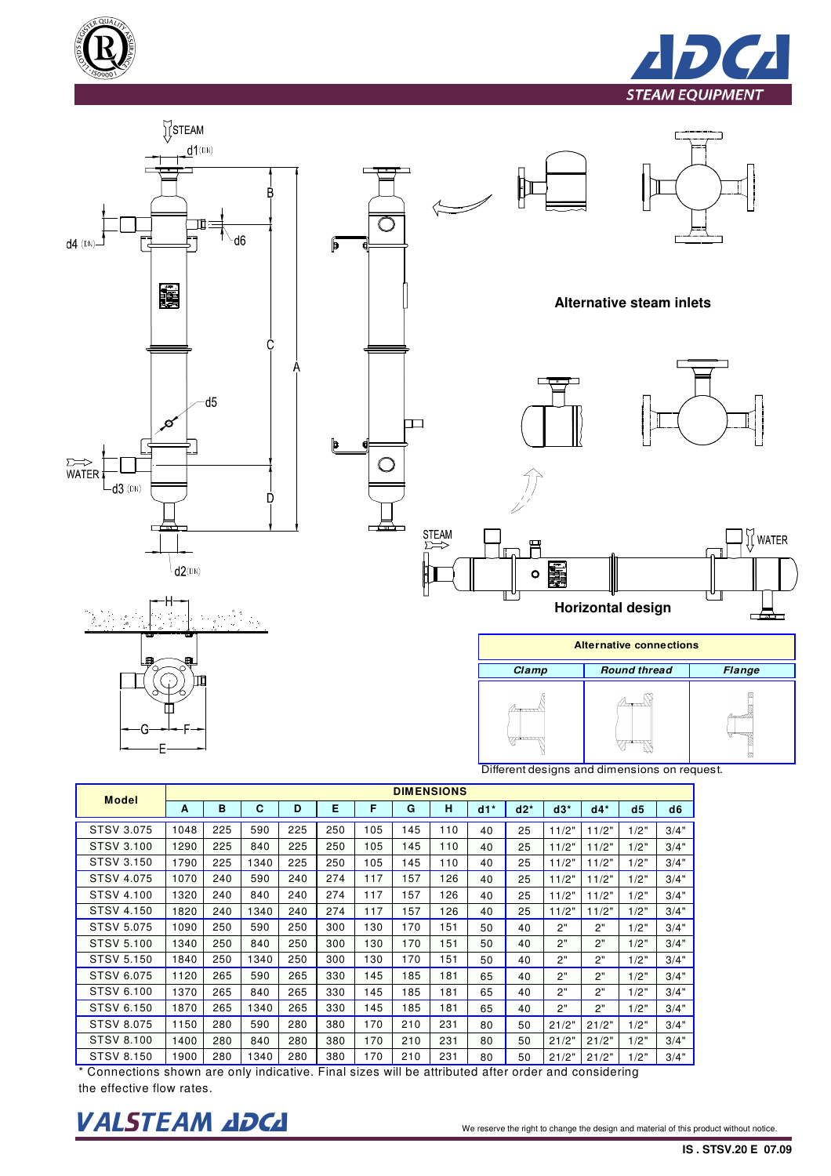





| <b>Model</b>      | <b>DIMENSIONS</b> |     |      |     |     |     |     |     |       |        |       |       |      |                |
|-------------------|-------------------|-----|------|-----|-----|-----|-----|-----|-------|--------|-------|-------|------|----------------|
|                   | A                 | B   | C    | D   | Е   | F   | G   | н   | $d1*$ | $d2^*$ | $d3*$ | $d4*$ | d5   | d <sub>6</sub> |
| STSV 3.075        | 1048              | 225 | 590  | 225 | 250 | 105 | 145 | 110 | 40    | 25     | 11/2" | 11/2" | 1/2" | 3/4"           |
| STSV 3.100        | 1290              | 225 | 840  | 225 | 250 | 105 | 145 | 110 | 40    | 25     | 11/2" | 11/2" | 1/2" | 3/4"           |
| STSV 3.150        | 1790              | 225 | 1340 | 225 | 250 | 105 | 145 | 110 | 40    | 25     | 11/2" | 11/2" | 1/2" | 3/4"           |
| <b>STSV 4.075</b> | 1070              | 240 | 590  | 240 | 274 | 117 | 157 | 126 | 40    | 25     | 11/2" | 11/2" | 1/2" | 3/4"           |
| STSV 4.100        | 1320              | 240 | 840  | 240 | 274 | 117 | 157 | 126 | 40    | 25     | 11/2" | 11/2" | 1/2" | 3/4"           |
| STSV 4.150        | 1820              | 240 | 1340 | 240 | 274 | 117 | 157 | 126 | 40    | 25     | 11/2" | 11/2" | 1/2" | 3/4"           |
| STSV 5.075        | 1090              | 250 | 590  | 250 | 300 | 130 | 170 | 151 | 50    | 40     | 2"    | 2"    | 1/2" | 3/4"           |
| <b>STSV 5.100</b> | 1340              | 250 | 840  | 250 | 300 | 130 | 170 | 151 | 50    | 40     | 2"    | 2"    | 1/2" | 3/4"           |
| STSV 5.150        | 1840              | 250 | 1340 | 250 | 300 | 130 | 170 | 151 | 50    | 40     | 2"    | 2"    | 1/2" | 3/4"           |
| STSV 6.075        | 1120              | 265 | 590  | 265 | 330 | 145 | 185 | 181 | 65    | 40     | 2"    | 2"    | 1/2" | 3/4"           |
| STSV 6.100        | 1370              | 265 | 840  | 265 | 330 | 145 | 185 | 181 | 65    | 40     | 2"    | 2"    | 1/2" | 3/4"           |
| <b>STSV 6.150</b> | 1870              | 265 | 1340 | 265 | 330 | 145 | 185 | 181 | 65    | 40     | 2"    | 2"    | 1/2" | 3/4"           |
| <b>STSV 8.075</b> | 1150              | 280 | 590  | 280 | 380 | 170 | 210 | 231 | 80    | 50     | 21/2" | 21/2" | 1/2" | 3/4"           |
| <b>STSV 8.100</b> | 1400              | 280 | 840  | 280 | 380 | 170 | 210 | 231 | 80    | 50     | 21/2" | 21/2" | 1/2" | 3/4"           |
| STSV 8.150        | 1900              | 280 | 1340 | 280 | 380 | 170 | 210 | 231 | 80    | 50     | 21/2" | 21/2" | 1/2" | 3/4"           |

\* Connections shown are only indicative. Final sizes will be attributed after order and considering the effective flow rates.